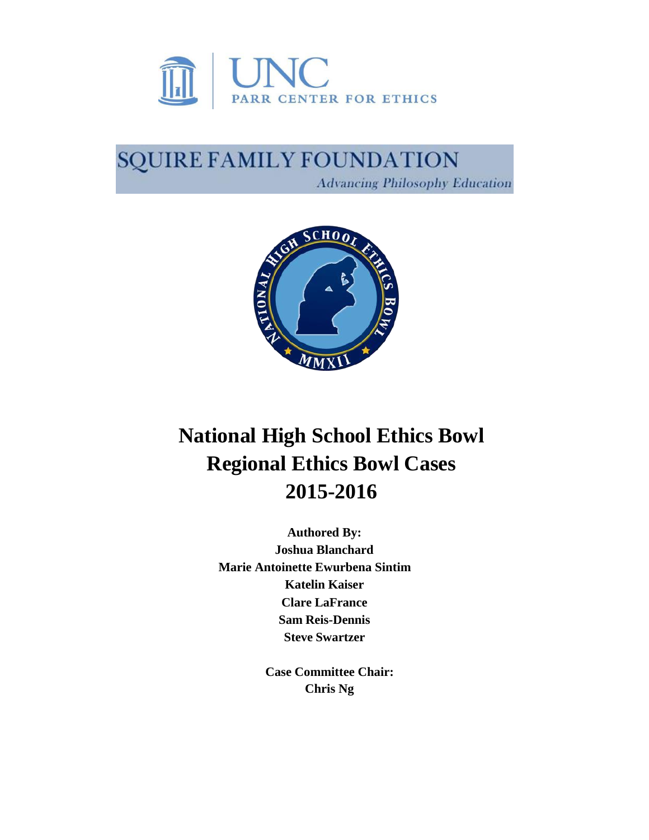

# SQUIRE FAMILY FOUNDATION **Advancing Philosophy Education**



# **National High School Ethics Bowl Regional Ethics Bowl Cases 2015-2016**

**Authored By: Joshua Blanchard Marie Antoinette Ewurbena Sintim Katelin Kaiser Clare LaFrance Sam Reis-Dennis Steve Swartzer**

> **Case Committee Chair: Chris Ng**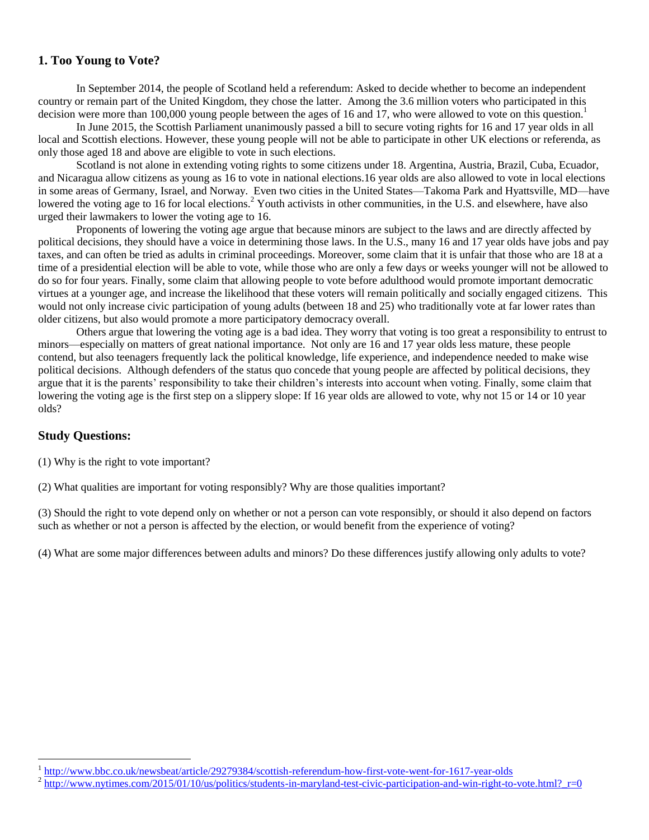# **1. Too Young to Vote?**

In September 2014, the people of Scotland held a referendum: Asked to decide whether to become an independent country or remain part of the United Kingdom, they chose the latter. Among the 3.6 million voters who participated in this decision were more than 100,000 young people between the ages of 16 and 17, who were allowed to vote on this question.

In June 2015, the Scottish Parliament unanimously passed a bill to secure voting rights for 16 and 17 year olds in all local and Scottish elections. However, these young people will not be able to participate in other UK elections or referenda, as only those aged 18 and above are eligible to vote in such elections.

Scotland is not alone in extending voting rights to some citizens under 18. Argentina, Austria, Brazil, Cuba, Ecuador, and Nicaragua allow citizens as young as 16 to vote in national elections.16 year olds are also allowed to vote in local elections in some areas of Germany, Israel, and Norway. Even two cities in the United States—Takoma Park and Hyattsville, MD—have lowered the voting age to 16 for local elections.<sup>2</sup> Youth activists in other communities, in the U.S. and elsewhere, have also urged their lawmakers to lower the voting age to 16.

Proponents of lowering the voting age argue that because minors are subject to the laws and are directly affected by political decisions, they should have a voice in determining those laws. In the U.S., many 16 and 17 year olds have jobs and pay taxes, and can often be tried as adults in criminal proceedings. Moreover, some claim that it is unfair that those who are 18 at a time of a presidential election will be able to vote, while those who are only a few days or weeks younger will not be allowed to do so for four years. Finally, some claim that allowing people to vote before adulthood would promote important democratic virtues at a younger age, and increase the likelihood that these voters will remain politically and socially engaged citizens. This would not only increase civic participation of young adults (between 18 and 25) who traditionally vote at far lower rates than older citizens, but also would promote a more participatory democracy overall.

Others argue that lowering the voting age is a bad idea. They worry that voting is too great a responsibility to entrust to minors—especially on matters of great national importance. Not only are 16 and 17 year olds less mature, these people contend, but also teenagers frequently lack the political knowledge, life experience, and independence needed to make wise political decisions. Although defenders of the status quo concede that young people are affected by political decisions, they argue that it is the parents' responsibility to take their children's interests into account when voting. Finally, some claim that lowering the voting age is the first step on a slippery slope: If 16 year olds are allowed to vote, why not 15 or 14 or 10 year olds?

#### **Study Questions:**

 $\overline{a}$ 

(1) Why is the right to vote important?

(2) What qualities are important for voting responsibly? Why are those qualities important?

(3) Should the right to vote depend only on whether or not a person can vote responsibly, or should it also depend on factors such as whether or not a person is affected by the election, or would benefit from the experience of voting?

(4) What are some major differences between adults and minors? Do these differences justify allowing only adults to vote?

<sup>1</sup> <http://www.bbc.co.uk/newsbeat/article/29279384/scottish-referendum-how-first-vote-went-for-1617-year-olds>

 $^2$  http://www.nytimes.com/2015/01/10/us/politics/students-in-maryland-test-civic-participation-and-win-right-to-vote.html? r=0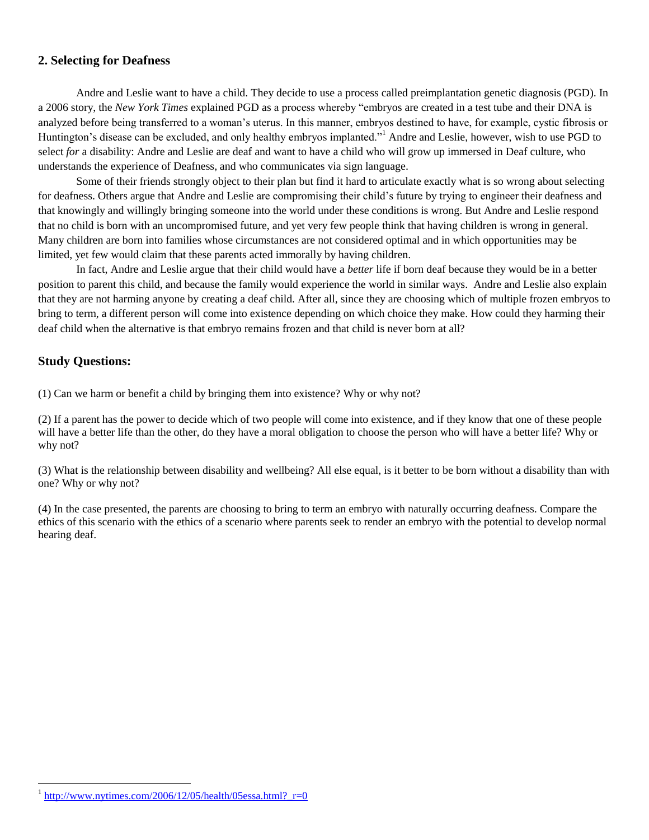#### **2. Selecting for Deafness**

Andre and Leslie want to have a child. They decide to use a process called preimplantation genetic diagnosis (PGD). In a 2006 story, the *New York Times* explained PGD as a process whereby "embryos are created in a test tube and their DNA is analyzed before being transferred to a woman's uterus. In this manner, embryos destined to have, for example, cystic fibrosis or Huntington's disease can be excluded, and only healthy embryos implanted."<sup>1</sup> Andre and Leslie, however, wish to use PGD to select *for* a disability: Andre and Leslie are deaf and want to have a child who will grow up immersed in Deaf culture, who understands the experience of Deafness, and who communicates via sign language.

Some of their friends strongly object to their plan but find it hard to articulate exactly what is so wrong about selecting for deafness. Others argue that Andre and Leslie are compromising their child's future by trying to engineer their deafness and that knowingly and willingly bringing someone into the world under these conditions is wrong. But Andre and Leslie respond that no child is born with an uncompromised future, and yet very few people think that having children is wrong in general. Many children are born into families whose circumstances are not considered optimal and in which opportunities may be limited, yet few would claim that these parents acted immorally by having children.

In fact, Andre and Leslie argue that their child would have a *better* life if born deaf because they would be in a better position to parent this child, and because the family would experience the world in similar ways. Andre and Leslie also explain that they are not harming anyone by creating a deaf child. After all, since they are choosing which of multiple frozen embryos to bring to term, a different person will come into existence depending on which choice they make. How could they harming their deaf child when the alternative is that embryo remains frozen and that child is never born at all?

#### **Study Questions:**

 $\overline{a}$ 

(1) Can we harm or benefit a child by bringing them into existence? Why or why not?

(2) If a parent has the power to decide which of two people will come into existence, and if they know that one of these people will have a better life than the other, do they have a moral obligation to choose the person who will have a better life? Why or why not?

(3) What is the relationship between disability and wellbeing? All else equal, is it better to be born without a disability than with one? Why or why not?

(4) In the case presented, the parents are choosing to bring to term an embryo with naturally occurring deafness. Compare the ethics of this scenario with the ethics of a scenario where parents seek to render an embryo with the potential to develop normal hearing deaf.

 $\frac{1 \text{http://www.nytimes.com/2006/12/05/health/05essa.html?}}{2 \text{http://www.nytimes.com/2006/12/05/health/05essa.html?}}$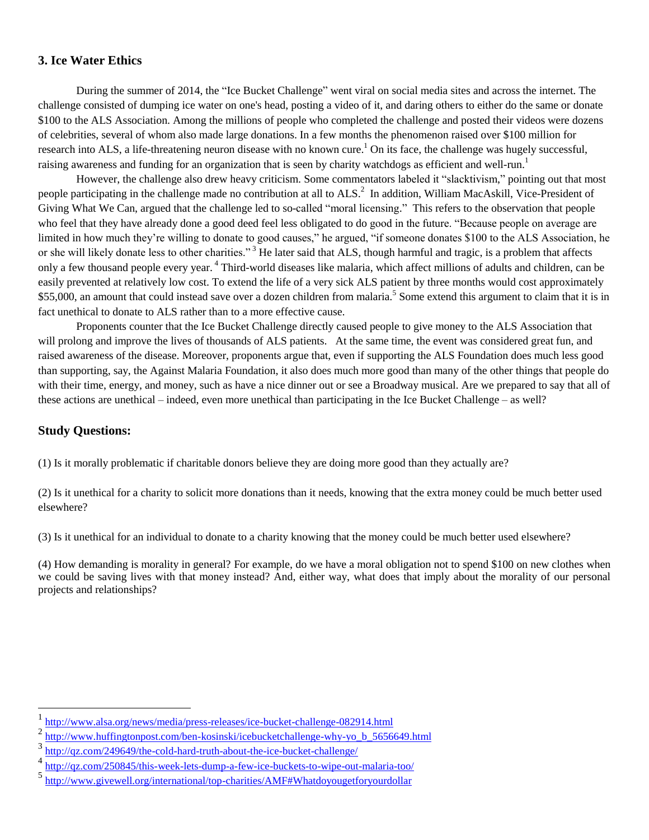#### **3. Ice Water Ethics**

During the summer of 2014, the "Ice Bucket Challenge" went viral on social media sites and across the internet. The challenge consisted of dumping ice water on one's head, posting a video of it, and daring others to either do the same or donate \$100 to the ALS Association. Among the millions of people who completed the challenge and posted their videos were dozens of celebrities, several of whom also made large donations. In a few months the phenomenon raised over \$100 million for research into ALS, a life-threatening neuron disease with no known cure.<sup>1</sup> On its face, the challenge was hugely successful, raising awareness and funding for an organization that is seen by charity watchdogs as efficient and well-run.<sup>1</sup>

However, the challenge also drew heavy criticism. Some commentators labeled it "slacktivism," pointing out that most people participating in the challenge made no contribution at all to  $ALS$ <sup>2</sup> In addition, William MacAskill, Vice-President of Giving What We Can, argued that the challenge led to so-called "moral licensing." This refers to the observation that people who feel that they have already done a good deed feel less obligated to do good in the future. "Because people on average are limited in how much they're willing to donate to good causes," he argued, "if someone donates \$100 to the ALS Association, he or she will likely donate less to other charities."<sup>3</sup> He later said that ALS, though harmful and tragic, is a problem that affects only a few thousand people every year. <sup>4</sup> Third-world diseases like malaria, which affect millions of adults and children, can be easily prevented at relatively low cost. To extend the life of a very sick ALS patient by three months would cost approximately \$55,000, an amount that could instead save over a dozen children from malaria.<sup>5</sup> Some extend this argument to claim that it is in fact unethical to donate to ALS rather than to a more effective cause.

Proponents counter that the Ice Bucket Challenge directly caused people to give money to the ALS Association that will prolong and improve the lives of thousands of ALS patients. At the same time, the event was considered great fun, and raised awareness of the disease. Moreover, proponents argue that, even if supporting the ALS Foundation does much less good than supporting, say, the Against Malaria Foundation, it also does much more good than many of the other things that people do with their time, energy, and money, such as have a nice dinner out or see a Broadway musical. Are we prepared to say that all of these actions are unethical – indeed, even more unethical than participating in the Ice Bucket Challenge – as well?

#### **Study Questions:**

 $\overline{a}$ 

(1) Is it morally problematic if charitable donors believe they are doing more good than they actually are?

(2) Is it unethical for a charity to solicit more donations than it needs, knowing that the extra money could be much better used elsewhere?

(3) Is it unethical for an individual to donate to a charity knowing that the money could be much better used elsewhere?

(4) How demanding is morality in general? For example, do we have a moral obligation not to spend \$100 on new clothes when we could be saving lives with that money instead? And, either way, what does that imply about the morality of our personal projects and relationships?

<sup>1</sup> <http://www.alsa.org/news/media/press-releases/ice-bucket-challenge-082914.html>

<sup>2</sup> [http://www.huffingtonpost.com/ben-kosinski/icebucketchallenge-why-yo\\_b\\_5656649.html](http://www.huffingtonpost.com/ben-kosinski/icebucketchallenge-why-yo_b_5656649.html)

<sup>3</sup> <http://qz.com/249649/the-cold-hard-truth-about-the-ice-bucket-challenge/>

<sup>4</sup> <http://qz.com/250845/this-week-lets-dump-a-few-ice-buckets-to-wipe-out-malaria-too/>

<sup>5</sup> <http://www.givewell.org/international/top-charities/AMF#Whatdoyougetforyourdollar>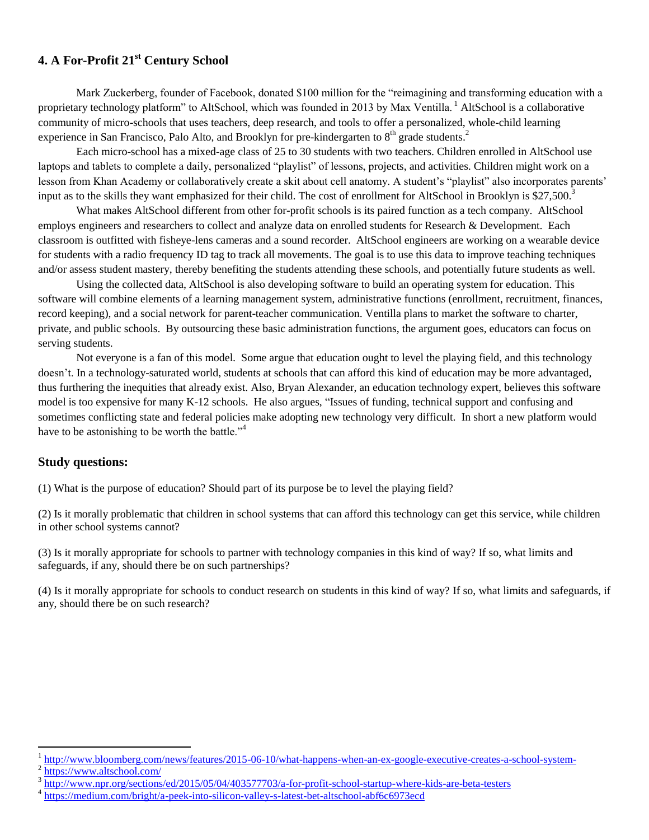# **4. A For-Profit 21st Century School**

Mark Zuckerberg, founder of Facebook, donated \$100 million for the "reimagining and transforming education with a proprietary technology platform" to AltSchool, which was founded in 2013 by Max Ventilla. <sup>1</sup> AltSchool is a collaborative community of micro-schools that uses teachers, deep research, and tools to offer a personalized, whole-child learning experience in San Francisco, Palo Alto, and Brooklyn for pre-kindergarten to  $8<sup>th</sup>$  grade students.<sup>2</sup>

Each micro-school has a mixed-age class of 25 to 30 students with two teachers. Children enrolled in AltSchool use laptops and tablets to complete a daily, personalized "playlist" of lessons, projects, and activities. Children might work on a lesson from Khan Academy or collaboratively create a skit about cell anatomy. A student's "playlist" also incorporates parents' input as to the skills they want emphasized for their child. The cost of enrollment for AltSchool in Brooklyn is  $$27,500$ .<sup>3</sup>

What makes AltSchool different from other for-profit schools is its paired function as a tech company. AltSchool employs engineers and researchers to collect and analyze data on enrolled students for Research & Development. Each classroom is outfitted with fisheye-lens cameras and a sound recorder. AltSchool engineers are working on a wearable device for students with a radio frequency ID tag to track all movements. The goal is to use this data to improve teaching techniques and/or assess student mastery, thereby benefiting the students attending these schools, and potentially future students as well.

Using the collected data, AltSchool is also developing software to build an operating system for education. This software will combine elements of a learning management system, administrative functions (enrollment, recruitment, finances, record keeping), and a social network for parent-teacher communication. Ventilla plans to market the software to charter, private, and public schools. By outsourcing these basic administration functions, the argument goes, educators can focus on serving students.

Not everyone is a fan of this model. Some argue that education ought to level the playing field, and this technology doesn't. In a technology-saturated world, students at schools that can afford this kind of education may be more advantaged, thus furthering the inequities that already exist. Also, Bryan Alexander, an education technology expert, believes this software model is too expensive for many K-12 schools. He also argues, "Issues of funding, technical support and confusing and sometimes conflicting state and federal policies make adopting new technology very difficult. In short a new platform would have to be astonishing to be worth the battle." $4$ 

# **Study questions:**

(1) What is the purpose of education? Should part of its purpose be to level the playing field?

(2) Is it morally problematic that children in school systems that can afford this technology can get this service, while children in other school systems cannot?

(3) Is it morally appropriate for schools to partner with technology companies in this kind of way? If so, what limits and safeguards, if any, should there be on such partnerships?

(4) Is it morally appropriate for schools to conduct research on students in this kind of way? If so, what limits and safeguards, if any, should there be on such research?

 $\overline{a}$ 

<sup>&</sup>lt;sup>1</sup> <http://www.bloomberg.com/news/features/2015-06-10/what-happens-when-an-ex-google-executive-creates-a-school-system->

<sup>&</sup>lt;sup>2</sup> <https://www.altschool.com/>

<sup>&</sup>lt;sup>3</sup><http://www.npr.org/sections/ed/2015/05/04/403577703/a-for-profit-school-startup-where-kids-are-beta-testers>

<sup>&</sup>lt;sup>4</sup> <https://medium.com/bright/a-peek-into-silicon-valley-s-latest-bet-altschool-abf6c6973ecd>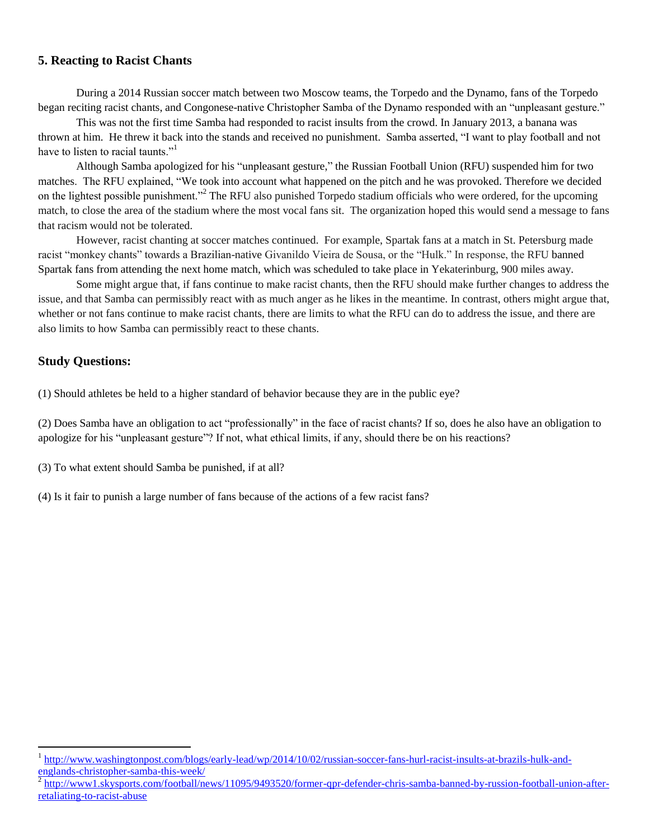#### **5. Reacting to Racist Chants**

During a 2014 Russian soccer match between two Moscow teams, the Torpedo and the Dynamo, fans of the Torpedo began reciting racist chants, and Congonese-native Christopher Samba of the Dynamo responded with an "unpleasant gesture."

This was not the first time Samba had responded to racist insults from the crowd. In January 2013, a banana was thrown at him. He threw it back into the stands and received no punishment. Samba asserted, "I want to play football and not have to listen to racial taunts."<sup>1</sup>

Although Samba apologized for his "unpleasant gesture," the Russian Football Union (RFU) suspended him for two matches. The RFU explained, "We took into account what happened on the pitch and he was provoked. Therefore we decided on the lightest possible punishment."<sup>2</sup> The RFU also punished Torpedo stadium officials who were ordered, for the upcoming match, to close the area of the stadium where the most vocal fans sit. The organization hoped this would send a message to fans that racism would not be tolerated.

However, racist chanting at soccer matches continued. For example, Spartak fans at a match in St. Petersburg made racist "monkey chants" towards a Brazilian-native Givanildo Vieira de Sousa, or the "Hulk." In response, the RFU banned Spartak fans from attending the next home match, which was scheduled to take place in Yekaterinburg, 900 miles away.

Some might argue that, if fans continue to make racist chants, then the RFU should make further changes to address the issue, and that Samba can permissibly react with as much anger as he likes in the meantime. In contrast, others might argue that, whether or not fans continue to make racist chants, there are limits to what the RFU can do to address the issue, and there are also limits to how Samba can permissibly react to these chants.

#### **Study Questions:**

 $\overline{a}$ 

(1) Should athletes be held to a higher standard of behavior because they are in the public eye?

(2) Does Samba have an obligation to act "professionally" in the face of racist chants? If so, does he also have an obligation to apologize for his "unpleasant gesture"? If not, what ethical limits, if any, should there be on his reactions?

(3) To what extent should Samba be punished, if at all?

(4) Is it fair to punish a large number of fans because of the actions of a few racist fans?

<sup>&</sup>lt;sup>1</sup> [http://www.washingtonpost.com/blogs/early-lead/wp/2014/10/02/russian-soccer-fans-hurl-racist-insults-at-brazils-hulk-and-](http://www.washingtonpost.com/blogs/early-lead/wp/2014/10/02/russian-soccer-fans-hurl-racist-insults-at-brazils-hulk-and-englands-christopher-samba-this-week/)

[englands-christopher-samba-this-week/](http://www.washingtonpost.com/blogs/early-lead/wp/2014/10/02/russian-soccer-fans-hurl-racist-insults-at-brazils-hulk-and-englands-christopher-samba-this-week/)<br><sup>2</sup> [http://www1.skysports.com/football/news/11095/9493520/former-qpr-defender-chris-samba-banned-by-russion-football-union-after](http://www1.skysports.com/football/news/11095/9493520/former-qpr-defender-chris-samba-banned-by-russion-football-union-after-retaliating-to-racist-abuse)[retaliating-to-racist-abuse](http://www1.skysports.com/football/news/11095/9493520/former-qpr-defender-chris-samba-banned-by-russion-football-union-after-retaliating-to-racist-abuse)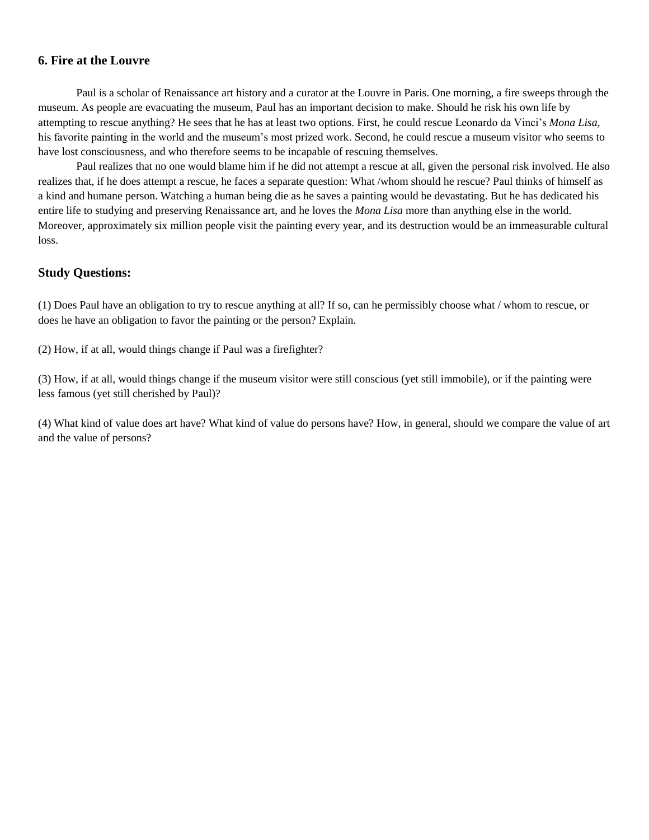#### **6. Fire at the Louvre**

Paul is a scholar of Renaissance art history and a curator at the Louvre in Paris. One morning, a fire sweeps through the museum. As people are evacuating the museum, Paul has an important decision to make. Should he risk his own life by attempting to rescue anything? He sees that he has at least two options. First, he could rescue Leonardo da Vinci's *Mona Lisa*, his favorite painting in the world and the museum's most prized work. Second, he could rescue a museum visitor who seems to have lost consciousness, and who therefore seems to be incapable of rescuing themselves.

Paul realizes that no one would blame him if he did not attempt a rescue at all, given the personal risk involved. He also realizes that, if he does attempt a rescue, he faces a separate question: What /whom should he rescue? Paul thinks of himself as a kind and humane person. Watching a human being die as he saves a painting would be devastating. But he has dedicated his entire life to studying and preserving Renaissance art, and he loves the *Mona Lisa* more than anything else in the world. Moreover, approximately six million people visit the painting every year, and its destruction would be an immeasurable cultural loss.

#### **Study Questions:**

(1) Does Paul have an obligation to try to rescue anything at all? If so, can he permissibly choose what / whom to rescue, or does he have an obligation to favor the painting or the person? Explain.

(2) How, if at all, would things change if Paul was a firefighter?

(3) How, if at all, would things change if the museum visitor were still conscious (yet still immobile), or if the painting were less famous (yet still cherished by Paul)?

(4) What kind of value does art have? What kind of value do persons have? How, in general, should we compare the value of art and the value of persons?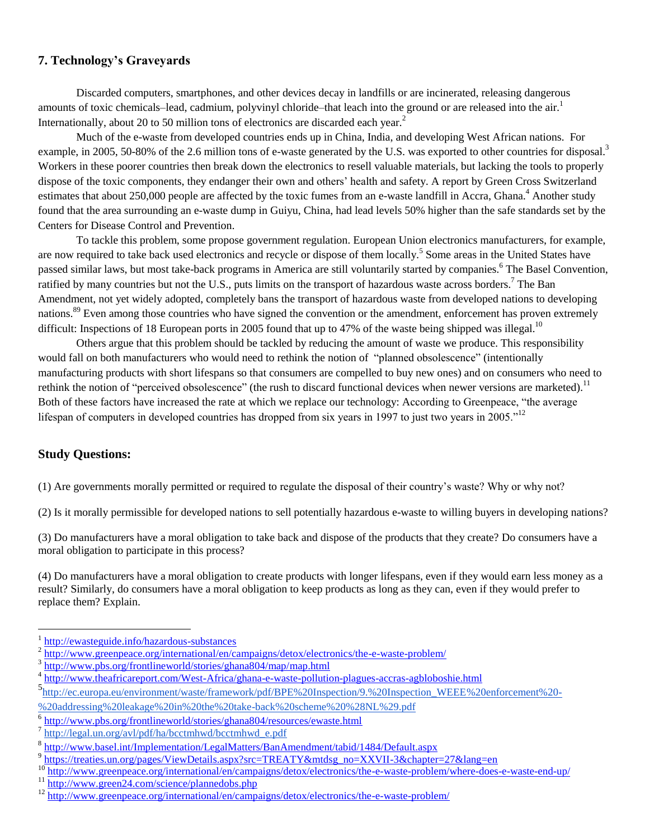# **7. Technology's Graveyards**

Discarded computers, smartphones, and other devices decay in landfills or are incinerated, releasing dangerous amounts of toxic chemicals–lead, cadmium, polyvinyl chloride–that leach into the ground or are released into the air.<sup>1</sup> Internationally, about 20 to 50 million tons of electronics are discarded each year.<sup>2</sup>

Much of the e-waste from developed countries ends up in China, India, and developing West African nations. For example, in 2005, 50-80% of the 2.6 million tons of e-waste generated by the U.S. was exported to other countries for disposal.<sup>3</sup> Workers in these poorer countries then break down the electronics to resell valuable materials, but lacking the tools to properly dispose of the toxic components, they endanger their own and others' health and safety. A report by Green Cross Switzerland estimates that about 250,000 people are affected by the toxic fumes from an e-waste landfill in Accra, Ghana.<sup>4</sup> Another study found that the area surrounding an e-waste dump in Guiyu, China, had lead levels 50% higher than the safe standards set by the Centers for Disease Control and Prevention.

To tackle this problem, some propose government regulation. European Union electronics manufacturers, for example, are now required to take back used electronics and recycle or dispose of them locally.<sup>5</sup> Some areas in the United States have passed similar laws, but most take-back programs in America are still voluntarily started by companies.<sup>6</sup> The Basel Convention, ratified by many countries but not the U.S., puts limits on the transport of hazardous waste across borders.<sup>7</sup> The Ban Amendment, not yet widely adopted, completely bans the transport of hazardous waste from developed nations to developing nations.<sup>89</sup> Even among those countries who have signed the convention or the amendment, enforcement has proven extremely difficult: Inspections of 18 European ports in 2005 found that up to 47% of the waste being shipped was illegal.<sup>10</sup>

Others argue that this problem should be tackled by reducing the amount of waste we produce. This responsibility would fall on both manufacturers who would need to rethink the notion of "planned obsolescence" (intentionally manufacturing products with short lifespans so that consumers are compelled to buy new ones) and on consumers who need to rethink the notion of "perceived obsolescence" (the rush to discard functional devices when newer versions are marketed).<sup>11</sup> Both of these factors have increased the rate at which we replace our technology: According to Greenpeace, "the average lifespan of computers in developed countries has dropped from six years in 1997 to just two years in 2005."<sup>12</sup>

#### **Study Questions:**

 $\overline{a}$ 

(1) Are governments morally permitted or required to regulate the disposal of their country's waste? Why or why not?

(2) Is it morally permissible for developed nations to sell potentially hazardous e-waste to willing buyers in developing nations?

(3) Do manufacturers have a moral obligation to take back and dispose of the products that they create? Do consumers have a moral obligation to participate in this process?

(4) Do manufacturers have a moral obligation to create products with longer lifespans, even if they would earn less money as a result? Similarly, do consumers have a moral obligation to keep products as long as they can, even if they would prefer to replace them? Explain.

<sup>&</sup>lt;sup>1</sup> <http://ewasteguide.info/hazardous-substances>

<sup>2</sup> <http://www.greenpeace.org/international/en/campaigns/detox/electronics/the-e-waste-problem/>

<sup>3</sup> <http://www.pbs.org/frontlineworld/stories/ghana804/map/map.html>

<sup>&</sup>lt;sup>4</sup> <http://www.theafricareport.com/West-Africa/ghana-e-waste-pollution-plagues-accras-agbloboshie.html>

<sup>5&</sup>lt;br>[http://ec.europa.eu/environment/waste/framework/pdf/BPE%20Inspection/9.%20Inspection\\_WEEE%20enforcement%20-](http://ec.europa.eu/environment/waste/framework/pdf/BPE%20Inspection/9.%20Inspection_WEEE%20enforcement%20-%20addressing%20leakage%20in%20the%20take-back%20scheme%20%28NL%29.pdf)

[<sup>%20</sup>addressing%20leakage%20in%20the%20take-back%20scheme%20%28NL%29.pdf](http://ec.europa.eu/environment/waste/framework/pdf/BPE%20Inspection/9.%20Inspection_WEEE%20enforcement%20-%20addressing%20leakage%20in%20the%20take-back%20scheme%20%28NL%29.pdf)

<sup>&</sup>lt;sup>6</sup><http://www.pbs.org/frontlineworld/stories/ghana804/resources/ewaste.html>

<sup>&</sup>lt;sup>7</sup> [http://legal.un.org/avl/pdf/ha/bcctmhwd/bcctmhwd\\_e.pdf](http://legal.un.org/avl/pdf/ha/bcctmhwd/bcctmhwd_e.pdf)

<sup>&</sup>lt;sup>8</sup> <http://www.basel.int/Implementation/LegalMatters/BanAmendment/tabid/1484/Default.aspx>

<sup>&</sup>lt;sup>9</sup> [https://treaties.un.org/pages/ViewDetails.aspx?src=TREATY&mtdsg\\_no=XXVII-3&chapter=27&lang=en](https://treaties.un.org/pages/ViewDetails.aspx?src=TREATY&mtdsg_no=XXVII-3&chapter=27&lang=en)

<sup>10&</sup>lt;br><http://www.greenpeace.org/international/en/campaigns/detox/electronics/the-e-waste-problem/where-does-e-waste-end-up/>

<sup>&</sup>lt;sup>11</sup> <http://www.green24.com/science/plannedobs.php>

<sup>&</sup>lt;sup>12</sup> <http://www.greenpeace.org/international/en/campaigns/detox/electronics/the-e-waste-problem/>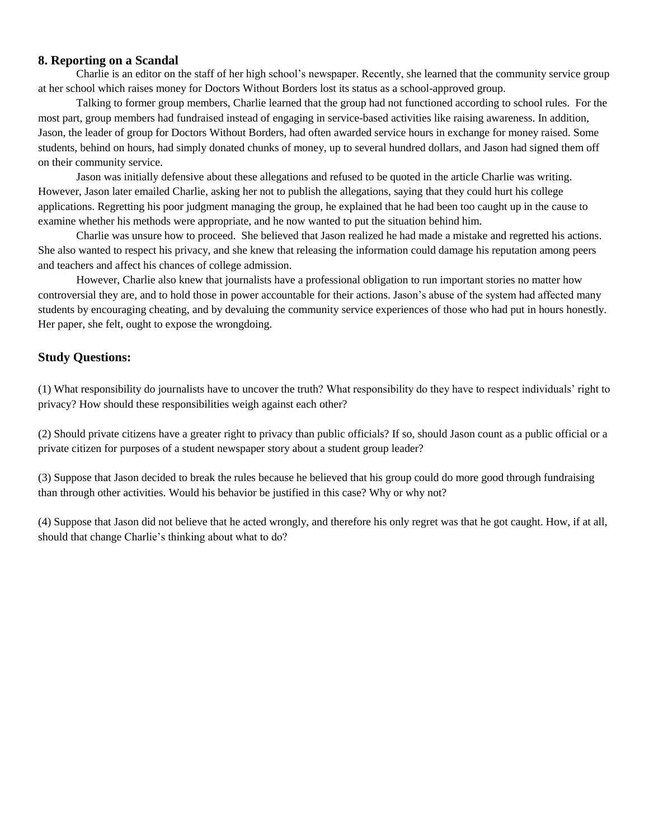#### **8. Reporting on a Scandal**

Charlie is an editor on the staff of her high school's newspaper. Recently, she learned that the community service group at her school which raises money for Doctors Without Borders lost its status as a school-approved group.

Talking to former group members, Charlie learned that the group had not functioned according to school rules. For the most part, group members had fundraised instead of engaging in service-based activities like raising awareness. In addition, Jason, the leader of group for Doctors Without Borders, had often awarded service hours in exchange for money raised. Some students, behind on hours, had simply donated chunks of money, up to several hundred dollars, and Jason had signed them off on their community service.

Jason was initially defensive about these allegations and refused to be quoted in the article Charlie was writing. However, Jason later emailed Charlie, asking her not to publish the allegations, saying that they could hurt his college applications. Regretting his poor judgment managing the group, he explained that he had been too caught up in the cause to examine whether his methods were appropriate, and he now wanted to put the situation behind him.

Charlie was unsure how to proceed. She believed that Jason realized he had made a mistake and regretted his actions. She also wanted to respect his privacy, and she knew that releasing the information could damage his reputation among peers and teachers and affect his chances of college admission.

However, Charlie also knew that journalists have a professional obligation to run important stories no matter how controversial they are, and to hold those in power accountable for their actions. Jason's abuse of the system had affected many students by encouraging cheating, and by devaluing the community service experiences of those who had put in hours honestly. Her paper, she felt, ought to expose the wrongdoing.

#### **Study Questions:**

(1) What responsibility do journalists have to uncover the truth? What responsibility do they have to respect individuals' right to privacy? How should these responsibilities weigh against each other?

(2) Should private citizens have a greater right to privacy than public officials? If so, should Jason count as a public official or a private citizen for purposes of a student newspaper story about a student group leader?

(3) Suppose that Jason decided to break the rules because he believed that his group could do more good through fundraising than through other activities. Would his behavior be justified in this case? Why or why not?

(4) Suppose that Jason did not believe that he acted wrongly, and therefore his only regret was that he got caught. How, if at all, should that change Charlie's thinking about what to do?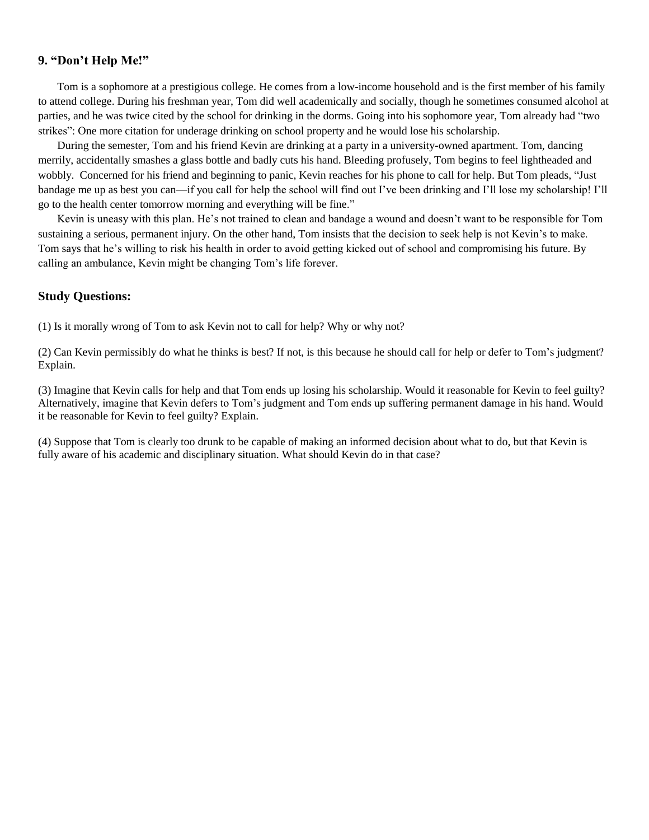#### **9. "Don't Help Me!"**

Tom is a sophomore at a prestigious college. He comes from a low-income household and is the first member of his family to attend college. During his freshman year, Tom did well academically and socially, though he sometimes consumed alcohol at parties, and he was twice cited by the school for drinking in the dorms. Going into his sophomore year, Tom already had "two strikes": One more citation for underage drinking on school property and he would lose his scholarship.

During the semester, Tom and his friend Kevin are drinking at a party in a university-owned apartment. Tom, dancing merrily, accidentally smashes a glass bottle and badly cuts his hand. Bleeding profusely, Tom begins to feel lightheaded and wobbly. Concerned for his friend and beginning to panic, Kevin reaches for his phone to call for help. But Tom pleads, "Just bandage me up as best you can—if you call for help the school will find out I've been drinking and I'll lose my scholarship! I'll go to the health center tomorrow morning and everything will be fine."

Kevin is uneasy with this plan. He's not trained to clean and bandage a wound and doesn't want to be responsible for Tom sustaining a serious, permanent injury. On the other hand, Tom insists that the decision to seek help is not Kevin's to make. Tom says that he's willing to risk his health in order to avoid getting kicked out of school and compromising his future. By calling an ambulance, Kevin might be changing Tom's life forever.

#### **Study Questions:**

(1) Is it morally wrong of Tom to ask Kevin not to call for help? Why or why not?

(2) Can Kevin permissibly do what he thinks is best? If not, is this because he should call for help or defer to Tom's judgment? Explain.

(3) Imagine that Kevin calls for help and that Tom ends up losing his scholarship. Would it reasonable for Kevin to feel guilty? Alternatively, imagine that Kevin defers to Tom's judgment and Tom ends up suffering permanent damage in his hand. Would it be reasonable for Kevin to feel guilty? Explain.

(4) Suppose that Tom is clearly too drunk to be capable of making an informed decision about what to do, but that Kevin is fully aware of his academic and disciplinary situation. What should Kevin do in that case?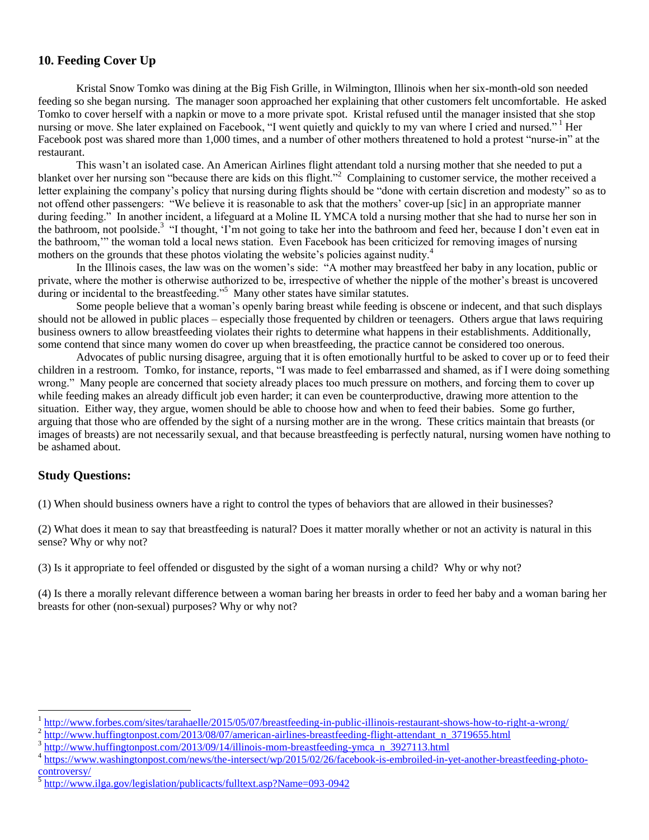# **10. Feeding Cover Up**

Kristal Snow Tomko was dining at the Big Fish Grille, in Wilmington, Illinois when her six-month-old son needed feeding so she began nursing. The manager soon approached her explaining that other customers felt uncomfortable. He asked Tomko to cover herself with a napkin or move to a more private spot. Kristal refused until the manager insisted that she stop nursing or move. She later explained on Facebook, "I went quietly and quickly to my van where I cried and nursed." Her Facebook post was shared more than 1,000 times, and a number of other mothers threatened to hold a protest "nurse-in" at the restaurant.

This wasn't an isolated case. An American Airlines flight attendant told a nursing mother that she needed to put a blanket over her nursing son "because there are kids on this flight."<sup>2</sup> Complaining to customer service, the mother received a letter explaining the company's policy that nursing during flights should be "done with certain discretion and modesty" so as to not offend other passengers: "We believe it is reasonable to ask that the mothers' cover-up [sic] in an appropriate manner during feeding." In another incident, a lifeguard at a Moline IL YMCA told a nursing mother that she had to nurse her son in the bathroom, not poolside.<sup>3</sup> "I thought, 'I'm not going to take her into the bathroom and feed her, because I don't even eat in the bathroom,'" the woman told a local news station. Even Facebook has been criticized for removing images of nursing mothers on the grounds that these photos violating the website's policies against nudity.<sup>4</sup>

In the Illinois cases, the law was on the women's side: "A mother may breastfeed her baby in any location, public or private, where the mother is otherwise authorized to be, irrespective of whether the nipple of the mother's breast is uncovered during or incidental to the breastfeeding."<sup>5</sup> Many other states have similar statutes.

Some people believe that a woman's openly baring breast while feeding is obscene or indecent, and that such displays should not be allowed in public places – especially those frequented by children or teenagers. Others argue that laws requiring business owners to allow breastfeeding violates their rights to determine what happens in their establishments. Additionally, some contend that since many women do cover up when breastfeeding, the practice cannot be considered too onerous.

Advocates of public nursing disagree, arguing that it is often emotionally hurtful to be asked to cover up or to feed their children in a restroom. Tomko, for instance, reports, "I was made to feel embarrassed and shamed, as if I were doing something wrong." Many people are concerned that society already places too much pressure on mothers, and forcing them to cover up while feeding makes an already difficult job even harder; it can even be counterproductive, drawing more attention to the situation. Either way, they argue, women should be able to choose how and when to feed their babies. Some go further, arguing that those who are offended by the sight of a nursing mother are in the wrong. These critics maintain that breasts (or images of breasts) are not necessarily sexual, and that because breastfeeding is perfectly natural, nursing women have nothing to be ashamed about.

# **Study Questions:**

 $\overline{a}$ 

(1) When should business owners have a right to control the types of behaviors that are allowed in their businesses?

(2) What does it mean to say that breastfeeding is natural? Does it matter morally whether or not an activity is natural in this sense? Why or why not?

(3) Is it appropriate to feel offended or disgusted by the sight of a woman nursing a child? Why or why not?

(4) Is there a morally relevant difference between a woman baring her breasts in order to feed her baby and a woman baring her breasts for other (non-sexual) purposes? Why or why not?

<sup>1</sup> <http://www.forbes.com/sites/tarahaelle/2015/05/07/breastfeeding-in-public-illinois-restaurant-shows-how-to-right-a-wrong/>

<sup>&</sup>lt;sup>2</sup> [http://www.huffingtonpost.com/2013/08/07/american-airlines-breastfeeding-flight-attendant\\_n\\_3719655.html](http://www.huffingtonpost.com/2013/08/07/american-airlines-breastfeeding-flight-attendant_n_3719655.html)

<sup>3</sup> [http://www.huffingtonpost.com/2013/09/14/illinois-mom-breastfeeding-ymca\\_n\\_3927113.html](http://www.huffingtonpost.com/2013/09/14/illinois-mom-breastfeeding-ymca_n_3927113.html)

<sup>4</sup> [https://www.washingtonpost.com/news/the-intersect/wp/2015/02/26/facebook-is-embroiled-in-yet-another-breastfeeding-photo](https://www.washingtonpost.com/news/the-intersect/wp/2015/02/26/facebook-is-embroiled-in-yet-another-breastfeeding-photo-controversy/)[controversy/](https://www.washingtonpost.com/news/the-intersect/wp/2015/02/26/facebook-is-embroiled-in-yet-another-breastfeeding-photo-controversy/)

<sup>5</sup> <http://www.ilga.gov/legislation/publicacts/fulltext.asp?Name=093-0942>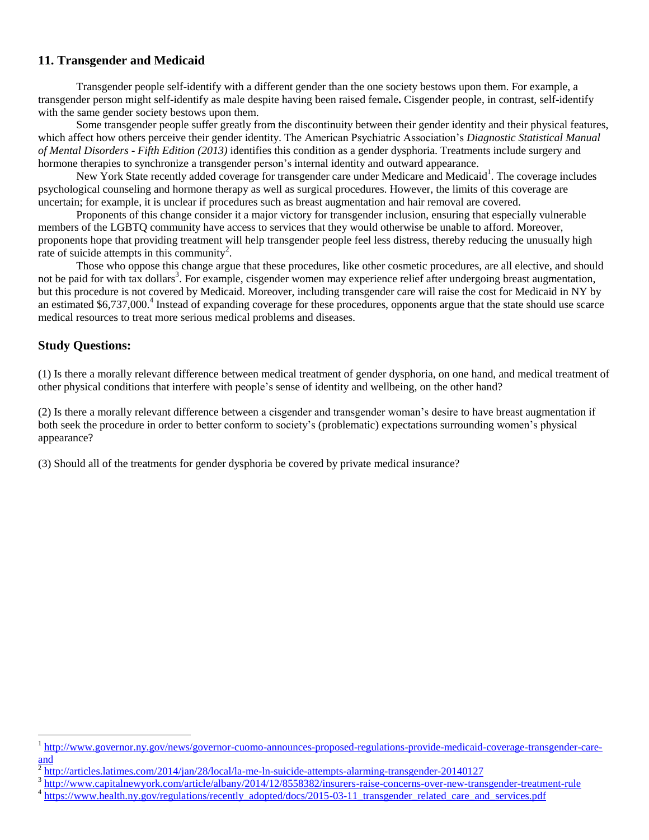# **11. Transgender and Medicaid**

Transgender people self-identify with a different gender than the one society bestows upon them. For example, a transgender person might self-identify as male despite having been raised female**.** Cisgender people, in contrast, self-identify with the same gender society bestows upon them.

Some transgender people suffer greatly from the discontinuity between their gender identity and their physical features, which affect how others perceive their gender identity. The American Psychiatric Association's *Diagnostic Statistical Manual of Mental Disorders - Fifth Edition (2013)* identifies this condition as a gender dysphoria. Treatments include surgery and hormone therapies to synchronize a transgender person's internal identity and outward appearance.

New York State recently added coverage for transgender care under Medicare and Medicaid<sup>1</sup>. The coverage includes psychological counseling and hormone therapy as well as surgical procedures. However, the limits of this coverage are uncertain; for example, it is unclear if procedures such as breast augmentation and hair removal are covered.

Proponents of this change consider it a major victory for transgender inclusion, ensuring that especially vulnerable members of the LGBTQ community have access to services that they would otherwise be unable to afford. Moreover, proponents hope that providing treatment will help transgender people feel less distress, thereby reducing the unusually high rate of suicide attempts in this community<sup>2</sup>.

Those who oppose this change argue that these procedures, like other cosmetic procedures, are all elective, and should not be paid for with tax dollars<sup>3</sup>. For example, cisgender women may experience relief after undergoing breast augmentation, but this procedure is not covered by Medicaid. Moreover, including transgender care will raise the cost for Medicaid in NY by an estimated \$6,737,000.<sup>4</sup> Instead of expanding coverage for these procedures, opponents argue that the state should use scarce medical resources to treat more serious medical problems and diseases.

#### **Study Questions:**

 $\overline{a}$ 

(1) Is there a morally relevant difference between medical treatment of gender dysphoria, on one hand, and medical treatment of other physical conditions that interfere with people's sense of identity and wellbeing, on the other hand?

(2) Is there a morally relevant difference between a cisgender and transgender woman's desire to have breast augmentation if both seek the procedure in order to better conform to society's (problematic) expectations surrounding women's physical appearance?

(3) Should all of the treatments for gender dysphoria be covered by private medical insurance?

<sup>&</sup>lt;sup>1</sup> [http://www.governor.ny.gov/news/governor-cuomo-announces-proposed-regulations-provide-medicaid-coverage-transgender-care-](http://www.governor.ny.gov/news/governor-cuomo-announces-proposed-regulations-provide-medicaid-coverage-transgender-care-and)

[and](http://www.governor.ny.gov/news/governor-cuomo-announces-proposed-regulations-provide-medicaid-coverage-transgender-care-and)<br><sup>2</sup> <http://articles.latimes.com/2014/jan/28/local/la-me-ln-suicide-attempts-alarming-transgender-20140127>

<sup>3</sup> <http://www.capitalnewyork.com/article/albany/2014/12/8558382/insurers-raise-concerns-over-new-transgender-treatment-rule>

<sup>&</sup>lt;sup>4</sup> [https://www.health.ny.gov/regulations/recently\\_adopted/docs/2015-03-11\\_transgender\\_related\\_care\\_and\\_services.pdf](https://www.health.ny.gov/regulations/recently_adopted/docs/2015-03-11_transgender_related_care_and_services.pdf)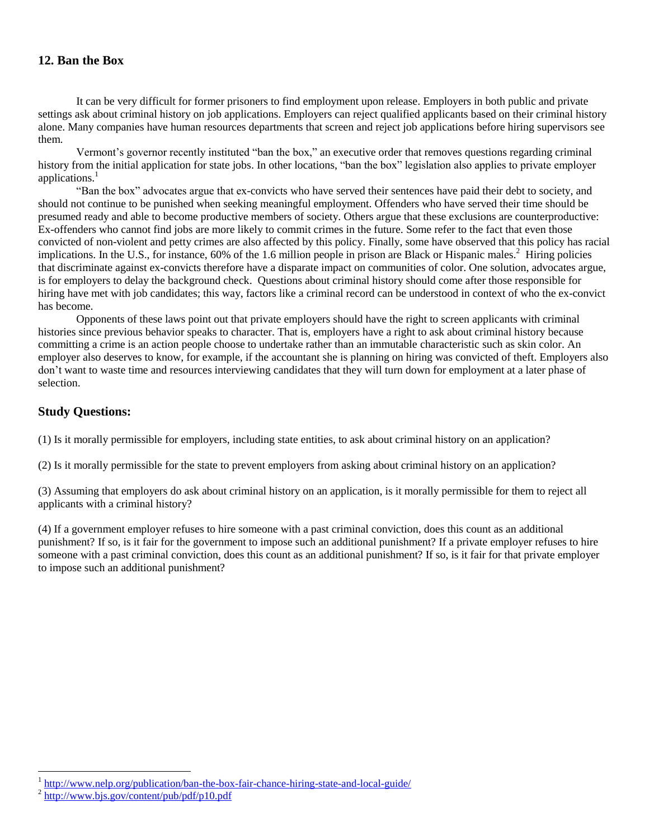# **12. Ban the Box**

It can be very difficult for former prisoners to find employment upon release. Employers in both public and private settings ask about criminal history on job applications. Employers can reject qualified applicants based on their criminal history alone. Many companies have human resources departments that screen and reject job applications before hiring supervisors see them.

Vermont's governor recently instituted "ban the box," an executive order that removes questions regarding criminal history from the initial application for state jobs. In other locations, "ban the box" legislation also applies to private employer applications.<sup>1</sup>

"Ban the box" advocates argue that ex-convicts who have served their sentences have paid their debt to society, and should not continue to be punished when seeking meaningful employment. Offenders who have served their time should be presumed ready and able to become productive members of society. Others argue that these exclusions are counterproductive: Ex-offenders who cannot find jobs are more likely to commit crimes in the future. Some refer to the fact that even those convicted of non-violent and petty crimes are also affected by this policy. Finally, some have observed that this policy has racial implications. In the U.S., for instance, 60% of the 1.6 million people in prison are Black or Hispanic males.<sup>2</sup> Hiring policies that discriminate against ex-convicts therefore have a disparate impact on communities of color. One solution, advocates argue, is for employers to delay the background check. Questions about criminal history should come after those responsible for hiring have met with job candidates; this way, factors like a criminal record can be understood in context of who the ex-convict has become.

 Opponents of these laws point out that private employers should have the right to screen applicants with criminal histories since previous behavior speaks to character. That is, employers have a right to ask about criminal history because committing a crime is an action people choose to undertake rather than an immutable characteristic such as skin color. An employer also deserves to know, for example, if the accountant she is planning on hiring was convicted of theft. Employers also don't want to waste time and resources interviewing candidates that they will turn down for employment at a later phase of selection.

#### **Study Questions:**

(1) Is it morally permissible for employers, including state entities, to ask about criminal history on an application?

(2) Is it morally permissible for the state to prevent employers from asking about criminal history on an application?

(3) Assuming that employers do ask about criminal history on an application, is it morally permissible for them to reject all applicants with a criminal history?

(4) If a government employer refuses to hire someone with a past criminal conviction, does this count as an additional punishment? If so, is it fair for the government to impose such an additional punishment? If a private employer refuses to hire someone with a past criminal conviction, does this count as an additional punishment? If so, is it fair for that private employer to impose such an additional punishment?

 $\overline{a}$ 

<sup>1</sup> <http://www.nelp.org/publication/ban-the-box-fair-chance-hiring-state-and-local-guide/>

 $^{2}$  <http://www.bjs.gov/content/pub/pdf/p10.pdf>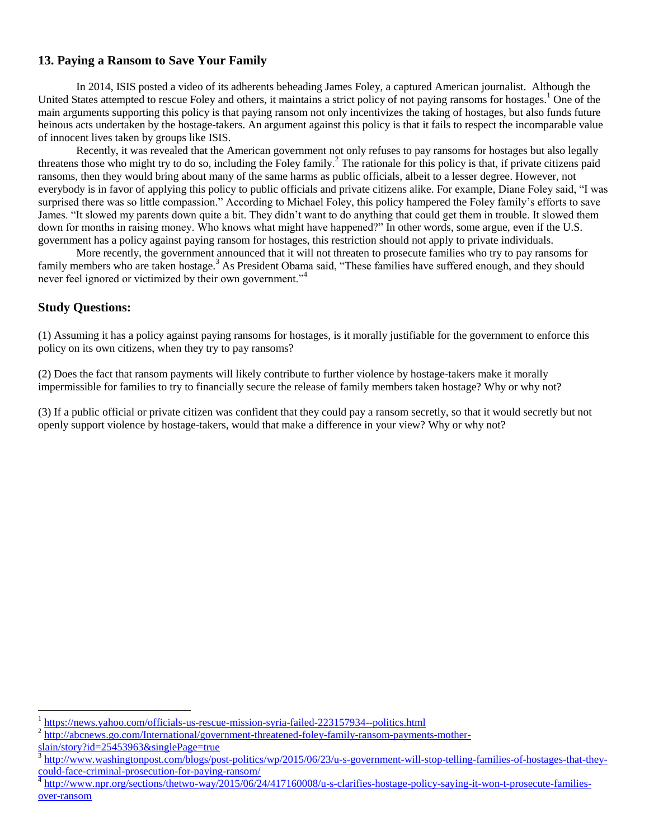## **13. Paying a Ransom to Save Your Family**

In 2014, ISIS posted a video of its adherents beheading James Foley, a captured American journalist. Although the United States attempted to rescue Foley and others, it maintains a strict policy of not paying ransoms for hostages.<sup>1</sup> One of the main arguments supporting this policy is that paying ransom not only incentivizes the taking of hostages, but also funds future heinous acts undertaken by the hostage-takers. An argument against this policy is that it fails to respect the incomparable value of innocent lives taken by groups like ISIS.

Recently, it was revealed that the American government not only refuses to pay ransoms for hostages but also legally threatens those who might try to do so, including the Foley family.<sup>2</sup> The rationale for this policy is that, if private citizens paid ransoms, then they would bring about many of the same harms as public officials, albeit to a lesser degree. However, not everybody is in favor of applying this policy to public officials and private citizens alike. For example, Diane Foley said, "I was surprised there was so little compassion." According to Michael Foley, this policy hampered the Foley family's efforts to save James. "It slowed my parents down quite a bit. They didn't want to do anything that could get them in trouble. It slowed them down for months in raising money. Who knows what might have happened?" In other words, some argue, even if the U.S. government has a policy against paying ransom for hostages, this restriction should not apply to private individuals.

More recently, the government announced that it will not threaten to prosecute families who try to pay ransoms for family members who are taken hostage.<sup>3</sup> As President Obama said, "These families have suffered enough, and they should never feel ignored or victimized by their own government."<sup>4</sup>

#### **Study Questions:**

 $\overline{a}$ 

(1) Assuming it has a policy against paying ransoms for hostages, is it morally justifiable for the government to enforce this policy on its own citizens, when they try to pay ransoms?

(2) Does the fact that ransom payments will likely contribute to further violence by hostage-takers make it morally impermissible for families to try to financially secure the release of family members taken hostage? Why or why not?

(3) If a public official or private citizen was confident that they could pay a ransom secretly, so that it would secretly but not openly support violence by hostage-takers, would that make a difference in your view? Why or why not?

<sup>1</sup> <https://news.yahoo.com/officials-us-rescue-mission-syria-failed-223157934--politics.html>

<sup>&</sup>lt;sup>2</sup> [http://abcnews.go.com/International/government-threatened-foley-family-ransom-payments-mother](http://abcnews.go.com/International/government-threatened-foley-family-ransom-payments-mother-slain/story?id=25453963&singlePage=true)[slain/story?id=25453963&singlePage=true](http://abcnews.go.com/International/government-threatened-foley-family-ransom-payments-mother-slain/story?id=25453963&singlePage=true)

<sup>3</sup> [http://www.washingtonpost.com/blogs/post-politics/wp/2015/06/23/u-s-government-will-stop-telling-families-of-hostages-that-they](http://www.washingtonpost.com/blogs/post-politics/wp/2015/06/23/u-s-government-will-stop-telling-families-of-hostages-that-they-could-face-criminal-prosecution-for-paying-ransom/)[could-face-criminal-prosecution-for-paying-ransom/](http://www.washingtonpost.com/blogs/post-politics/wp/2015/06/23/u-s-government-will-stop-telling-families-of-hostages-that-they-could-face-criminal-prosecution-for-paying-ransom/)

<sup>&</sup>lt;sup>4</sup> [http://www.npr.org/sections/thetwo-way/2015/06/24/417160008/u-s-clarifies-hostage-policy-saying-it-won-t-prosecute-families](http://www.npr.org/sections/thetwo-way/2015/06/24/417160008/u-s-clarifies-hostage-policy-saying-it-won-t-prosecute-families-over-ransom)[over-ransom](http://www.npr.org/sections/thetwo-way/2015/06/24/417160008/u-s-clarifies-hostage-policy-saying-it-won-t-prosecute-families-over-ransom)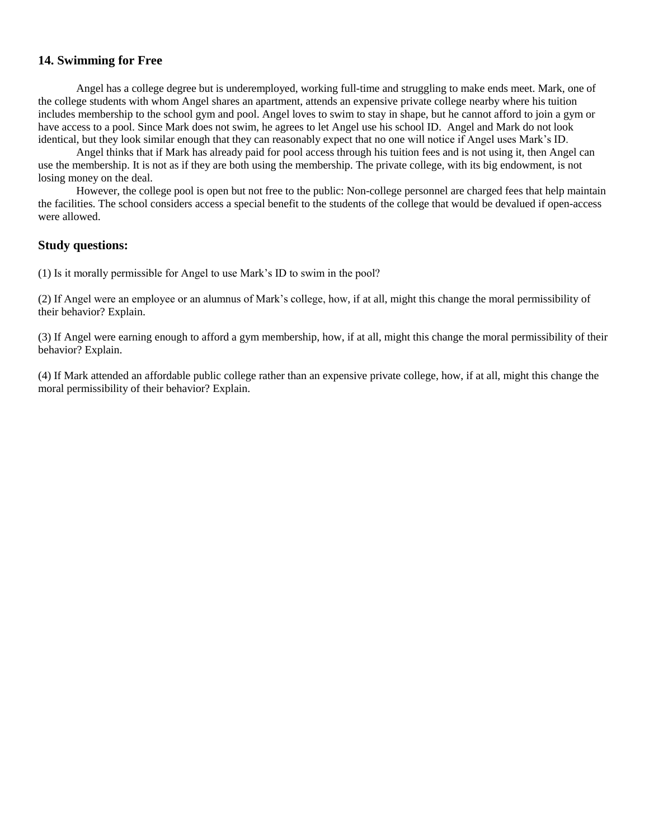#### **14. Swimming for Free**

Angel has a college degree but is underemployed, working full-time and struggling to make ends meet. Mark, one of the college students with whom Angel shares an apartment, attends an expensive private college nearby where his tuition includes membership to the school gym and pool. Angel loves to swim to stay in shape, but he cannot afford to join a gym or have access to a pool. Since Mark does not swim, he agrees to let Angel use his school ID. Angel and Mark do not look identical, but they look similar enough that they can reasonably expect that no one will notice if Angel uses Mark's ID.

Angel thinks that if Mark has already paid for pool access through his tuition fees and is not using it, then Angel can use the membership. It is not as if they are both using the membership. The private college, with its big endowment, is not losing money on the deal.

However, the college pool is open but not free to the public: Non-college personnel are charged fees that help maintain the facilities. The school considers access a special benefit to the students of the college that would be devalued if open-access were allowed.

#### **Study questions:**

(1) Is it morally permissible for Angel to use Mark's ID to swim in the pool?

(2) If Angel were an employee or an alumnus of Mark's college, how, if at all, might this change the moral permissibility of their behavior? Explain.

(3) If Angel were earning enough to afford a gym membership, how, if at all, might this change the moral permissibility of their behavior? Explain.

(4) If Mark attended an affordable public college rather than an expensive private college, how, if at all, might this change the moral permissibility of their behavior? Explain.